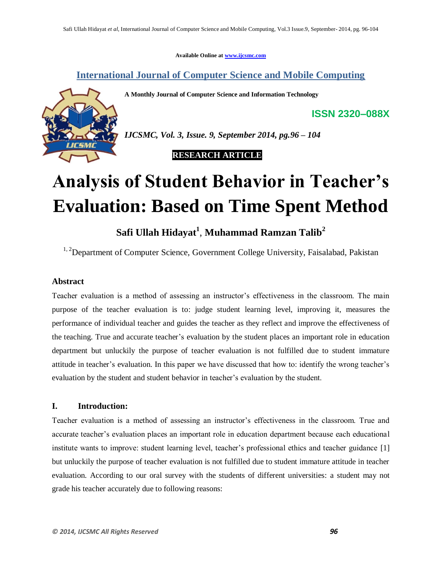**Available Online at www.ijcsmc.com**

**International Journal of Computer Science and Mobile Computing**

**A Monthly Journal of Computer Science and Information Technology**



*IJCSMC, Vol. 3, Issue. 9, September 2014, pg.96 – 104*

 **RESEARCH ARTICLE**

# **Analysis of Student Behavior in Teacher's Evaluation: Based on Time Spent Method**

## **Safi Ullah Hidayat<sup>1</sup>** , **Muhammad Ramzan Talib<sup>2</sup>**

<sup>1, 2</sup>Department of Computer Science, Government College University, Faisalabad, Pakistan

## **Abstract**

Teacher evaluation is a method of assessing an instructor's effectiveness in the classroom. The main purpose of the teacher evaluation is to: judge student learning level, improving it, measures the performance of individual teacher and guides the teacher as they reflect and improve the effectiveness of the teaching. True and accurate teacher's evaluation by the student places an important role in education department but unluckily the purpose of teacher evaluation is not fulfilled due to student immature attitude in teacher's evaluation. In this paper we have discussed that how to: identify the wrong teacher's evaluation by the student and student behavior in teacher's evaluation by the student.

## **I. Introduction:**

Teacher evaluation is a method of assessing an instructor's effectiveness in the classroom. True and accurate teacher's evaluation places an important role in education department because each educational institute wants to improve: student learning level, teacher's professional ethics and teacher guidance [1] but unluckily the purpose of teacher evaluation is not fulfilled due to student immature attitude in teacher evaluation. According to our oral survey with the students of different universities: a student may not grade his teacher accurately due to following reasons:

**ISSN 2320–088X**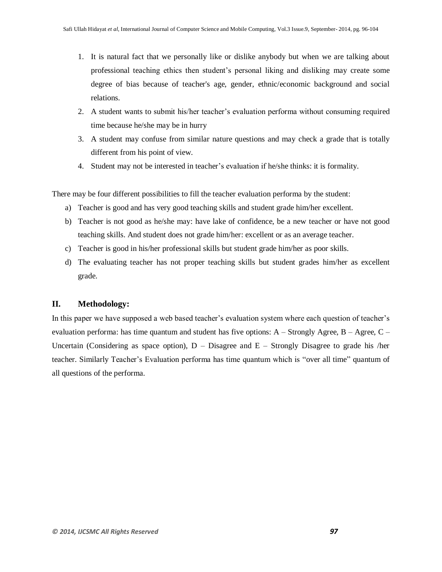- 1. It is natural fact that we personally like or dislike anybody but when we are talking about professional teaching ethics then student's personal liking and disliking may create some degree of bias because of teacher's age, gender, ethnic/economic background and social relations.
- 2. A student wants to submit his/her teacher's evaluation performa without consuming required time because he/she may be in hurry
- 3. A student may confuse from similar nature questions and may check a grade that is totally different from his point of view.
- 4. Student may not be interested in teacher's evaluation if he/she thinks: it is formality.

There may be four different possibilities to fill the teacher evaluation performa by the student:

- a) Teacher is good and has very good teaching skills and student grade him/her excellent.
- b) Teacher is not good as he/she may: have lake of confidence, be a new teacher or have not good teaching skills. And student does not grade him/her: excellent or as an average teacher.
- c) Teacher is good in his/her professional skills but student grade him/her as poor skills.
- d) The evaluating teacher has not proper teaching skills but student grades him/her as excellent grade.

## **II. Methodology:**

In this paper we have supposed a web based teacher's evaluation system where each question of teacher's evaluation performa: has time quantum and student has five options:  $A -$ Strongly Agree,  $B -$ Agree,  $C -$ Uncertain (Considering as space option),  $D -$  Disagree and  $E -$  Strongly Disagree to grade his /her teacher. Similarly Teacher's Evaluation performa has time quantum which is "over all time" quantum of all questions of the performa.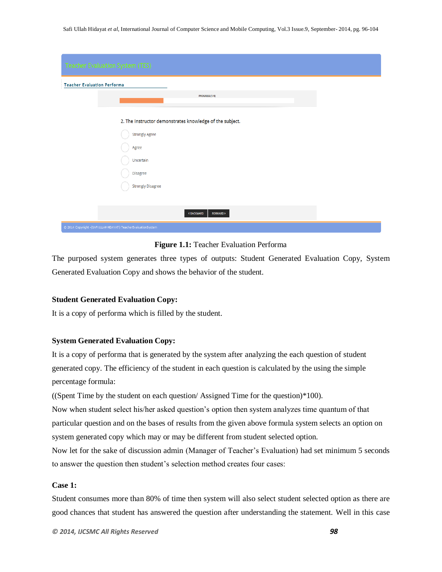| <b>Teacher Evaluation System (TES)</b>                         |
|----------------------------------------------------------------|
| <b>Teacher Evaluation Performa</b>                             |
| PROGRESS (1/4)                                                 |
| 2. The Instructor demonstrates knowledge of the subject.       |
| <b>Strongly Agree</b>                                          |
| Agree                                                          |
| Uncertain                                                      |
| <b>Disagree</b>                                                |
| <b>Strongly Disagree</b>                                       |
|                                                                |
| <b><backward< b=""><br/><b>FORWARD &gt;</b></backward<></b>    |
| © 2014 Copyright -(SAFI ULLAH HIDAYAT) TeacherEvaluationSystem |

#### **Figure 1.1:** Teacher Evaluation Performa

The purposed system generates three types of outputs: Student Generated Evaluation Copy, System Generated Evaluation Copy and shows the behavior of the student.

#### **Student Generated Evaluation Copy:**

It is a copy of performa which is filled by the student.

#### **System Generated Evaluation Copy:**

It is a copy of performa that is generated by the system after analyzing the each question of student generated copy. The efficiency of the student in each question is calculated by the using the simple percentage formula:

((Spent Time by the student on each question/ Assigned Time for the question)\*100).

Now when student select his/her asked question's option then system analyzes time quantum of that particular question and on the bases of results from the given above formula system selects an option on system generated copy which may or may be different from student selected option.

Now let for the sake of discussion admin (Manager of Teacher's Evaluation) had set minimum 5 seconds to answer the question then student's selection method creates four cases:

#### **Case 1:**

Student consumes more than 80% of time then system will also select student selected option as there are good chances that student has answered the question after understanding the statement. Well in this case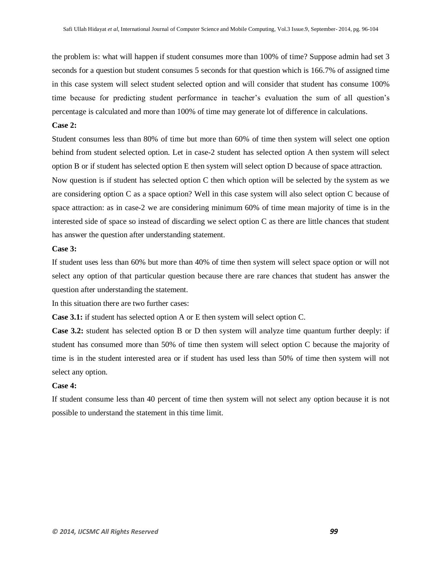the problem is: what will happen if student consumes more than 100% of time? Suppose admin had set 3 seconds for a question but student consumes 5 seconds for that question which is 166.7% of assigned time in this case system will select student selected option and will consider that student has consume 100% time because for predicting student performance in teacher's evaluation the sum of all question's percentage is calculated and more than 100% of time may generate lot of difference in calculations.

#### **Case 2:**

Student consumes less than 80% of time but more than 60% of time then system will select one option behind from student selected option. Let in case-2 student has selected option A then system will select option B or if student has selected option E then system will select option D because of space attraction. Now question is if student has selected option C then which option will be selected by the system as we are considering option C as a space option? Well in this case system will also select option C because of space attraction: as in case-2 we are considering minimum 60% of time mean majority of time is in the interested side of space so instead of discarding we select option C as there are little chances that student has answer the question after understanding statement.

#### **Case 3:**

If student uses less than 60% but more than 40% of time then system will select space option or will not select any option of that particular question because there are rare chances that student has answer the question after understanding the statement.

In this situation there are two further cases:

**Case 3.1:** if student has selected option A or E then system will select option C.

**Case 3.2:** student has selected option B or D then system will analyze time quantum further deeply: if student has consumed more than 50% of time then system will select option C because the majority of time is in the student interested area or if student has used less than 50% of time then system will not select any option.

#### **Case 4:**

If student consume less than 40 percent of time then system will not select any option because it is not possible to understand the statement in this time limit.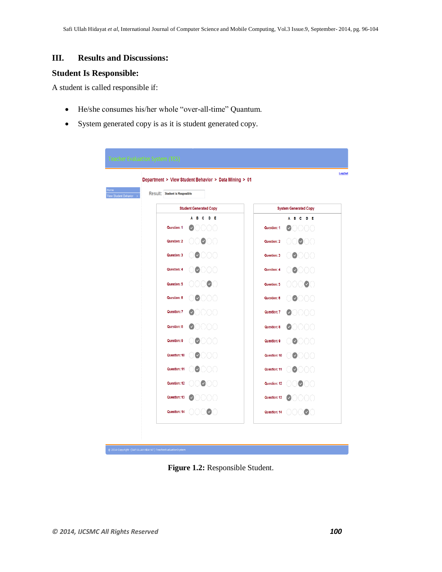## **III. Results and Discussions:**

## **Student Is Responsible:**

A student is called responsible if:

- He/she consumes his/her whole "over-all-time" Quantum.
- System generated copy is as it is student generated copy.

|                                                                 | Department > View Student Behavior > Data Mining > 01 |                               |
|-----------------------------------------------------------------|-------------------------------------------------------|-------------------------------|
| <b>Result: Student is Resposible</b><br>View Student Behavior > |                                                       |                               |
|                                                                 | <b>Student Generated Copy</b>                         | <b>System Generated Copy</b>  |
|                                                                 | c.<br>D E<br>A<br>в.                                  | A B C<br>D E                  |
| Question: 1                                                     |                                                       | Question: 1                   |
| Question: 2                                                     | $\bullet$ 00                                          | $\omega$<br>Question: 2<br>00 |
| Question: 3                                                     | Ø<br>UOC)                                             | Question: 3<br>OOOO           |
| Question: 4                                                     | $\bullet$ 000                                         | Question: 4<br>0000           |
| Question: 5                                                     | Ø                                                     | 000<br>Question: 5            |
| Question: 6                                                     |                                                       | Question: 6<br>JOO            |
| Question: 7                                                     | DOOO                                                  | Question: 7<br>J000           |
| Question: 8                                                     | JOOO                                                  | <b>Question: 8</b><br>JOOO    |
| Question: 9                                                     | UOO<br>M                                              | Question: 9<br>$\bullet$ COO  |
| Question: 10                                                    | $\mathbf{v}$                                          | Question: 10<br>$\omega$      |
| Question: 11                                                    | $\mathbf{v}$<br>000                                   | Question: 11<br>V             |
| Question: 12                                                    | 000                                                   | Question: 12<br>$\bullet$ 00  |
| Question: 13                                                    | DO ( )                                                | Question: 13                  |
| Question: 14                                                    | $\cup$ $\cup$ $\cup$                                  | Question: 14<br>$\bullet$ ( ) |

**Figure 1.2:** Responsible Student.

)<br>|} 2014 Copyright -(SAFIULLAH HDAYAT) TeacherEvaluationSystem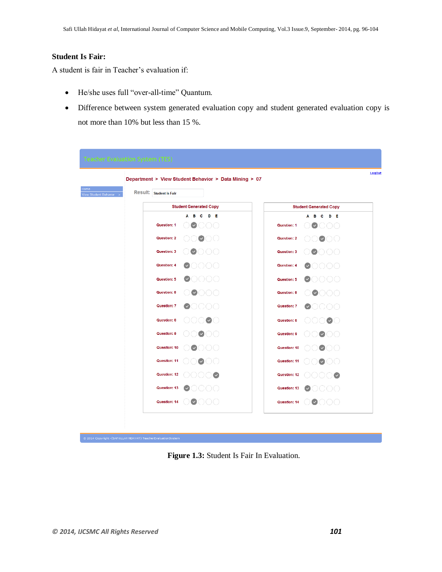## **Student Is Fair:**

A student is fair in Teacher's evaluation if:

- He/she uses full "over-all-time" Quantum.
- Difference between system generated evaluation copy and student generated evaluation copy is not more than 10% but less than 15 %.

|                         | Department > View Student Behavior > Data Mining > 07 |                               |                                         |
|-------------------------|-------------------------------------------------------|-------------------------------|-----------------------------------------|
| Result: Student is Fair |                                                       |                               |                                         |
|                         | <b>Student Generated Copy</b>                         | <b>Student Generated Copy</b> |                                         |
| Question: 1             | A B C<br>D E<br>$\checkmark$<br>$(+)$ ( $+)$ ( $+)$   | Question: 1                   | A B C<br>D E<br>$\checkmark$<br>$($ ) ( |
| Question: 2             | $\bullet$ $\circ$ $\circ$                             | Question: 2                   | $\bullet$ $\circ$ $\circ$               |
| Question: 3             | $\sim$<br>ooo                                         | Question: 3                   | $\bullet$ OOO                           |
| Question: 4             | OOOO                                                  | Question: 4                   | OOOO                                    |
| Question: 5             | $\bullet$ oooo                                        | Question: 5                   | $\bullet$ 0000                          |
| Question: 6             | $\bullet$ 000                                         | Question: 6                   | $\bullet$ 000                           |
| Question: 7             | DOOO                                                  | Question: 7                   | 0000                                    |
| Question: 8             | OOOOO                                                 | Question: 8                   | $\bullet$ $\circ$                       |
| Question: 9             | DO®OO                                                 | Question: 9                   | $\circlearrowright$ $\circlearrowright$ |
| Question: 10            | つ○○                                                   | Question: 10                  | $\circ\bullet\circ\circ$                |
| Question: 11            | $\bigcirc$ ( )( )                                     | Question: 11                  | $\bullet$ 00                            |
| Question: 12            |                                                       | Question: 12                  | $\sim$                                  |
| Question: 13            |                                                       | Question: 13                  | 00                                      |
| Question: 14            | $\bullet$ 000                                         | Question: 14                  |                                         |

**Figure 1.3:** Student Is Fair In Evaluation.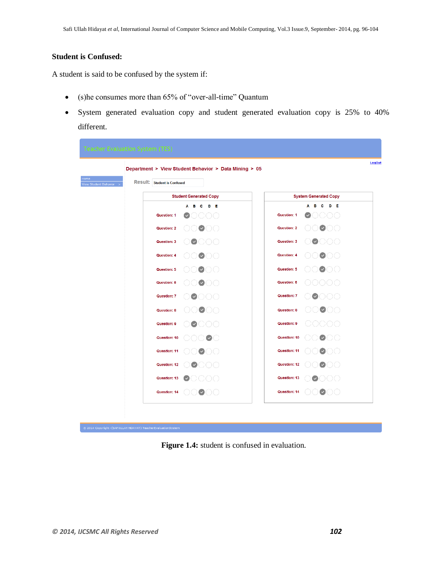## **Student is Confused:**

A student is said to be confused by the system if:

- (s)he consumes more than 65% of "over-all-time" Quantum
- System generated evaluation copy and student generated evaluation copy is 25% to 40% different.

|                                    | Department > View Student Behavior > Data Mining > 05 |              |                                           |
|------------------------------------|-------------------------------------------------------|--------------|-------------------------------------------|
| <b>Result:</b> Student is Confused |                                                       |              |                                           |
|                                    | <b>Student Generated Copy</b>                         |              | <b>System Generated Copy</b>              |
|                                    | A B<br>D E<br>c                                       |              | - c<br>- D - E<br>A<br>в                  |
| Question: 1                        |                                                       | Question: 1  |                                           |
| Question: 2                        | $\bullet$ $\circ$ $\circ$                             | Question: 2  | DØOO                                      |
| Question: 3                        | 000<br>$\sim$                                         | Question: 3  | $\bullet$ COO                             |
| Question: 4                        | $\circ\bullet\circ\circ$                              | Question: 4  | $\circ\circ\bullet\circ\circ$             |
| Question: 5                        | $\bullet$ 00                                          | Question: 5  | 00000                                     |
| Question: 6                        | $\circ\bullet\circ\circ$                              | Question: 6  | 0000                                      |
| Question: 7                        | $\bullet$ 000                                         | Question: 7  | $\bullet$ 000                             |
| <b>Question: 8</b>                 | $\circ\circ\bullet\circ\circ$                         | Question: 8  | $\circlearrowright\circ\bullet\circ\circ$ |
| Question: 9                        | $\bullet$ COO                                         | Question: 9  | 00000                                     |
| Question: 10                       | $\bigcirc\bigcirc\bullet\bigcirc$                     | Question: 10 | DO●OO                                     |
| Question: 11                       | DOOO                                                  | Question: 11 | DØOO                                      |
| Question: 12                       | $\Box$ $\Box$ $\Box$                                  | Question: 12 | 00000                                     |
| Question: 13                       | DO ( )                                                | Question: 13 | $\bullet$ OOO                             |
| Question: 14                       | DOOOO                                                 | Question: 14 | OOOO                                      |

**Figure 1.4:** student is confused in evaluation.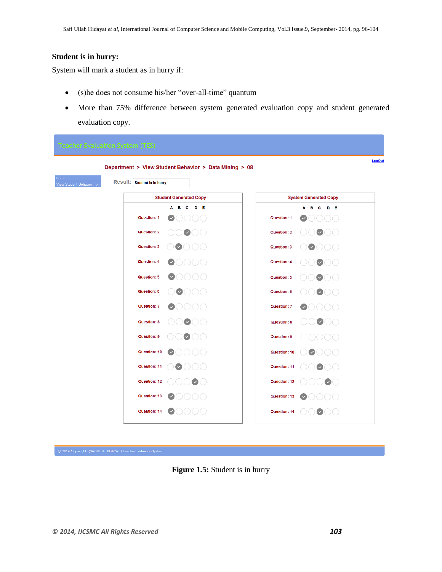#### **Student is in hurry:**

System will mark a student as in hurry if:

- (s)he does not consume his/her "over-all-time" quantum
- More than 75% difference between system generated evaluation copy and student generated evaluation copy.



**Figure 1.5:** Student is in hurry